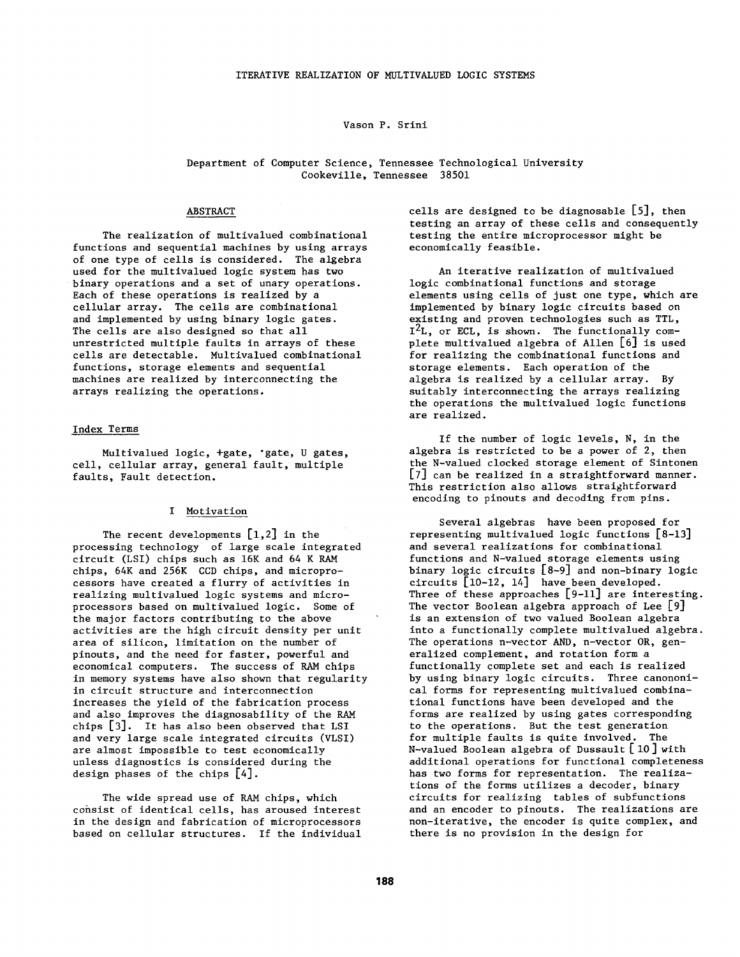## Vason P. Srini

## Department of Computer Science, Tennessee Technological University Cookeville, Tennessee 38501

## ABSTRACT

The realization of multivalued combinational functions and sequential machines by using arrays of one type of cells is considered. The algebra used for the multivalued logic system has two binary operations and a set of unary operations. Each of these operations is realized by a cellular array. The cells are combinational and implemented by using binary logic gates. The cells are also designed so that all unrestricted multiple faults in arrays of these cells are detectable. Multivalued combinational functions, storage elements and sequential machines are realized by interconnecting the arrays realizing the operations.

#### Index Terms

Multivalued logic, +gate, "gate, U gates, cell, cellular array, general fault, multiple faults, Fault detection.

#### I Motivation

The recent developments  $[1,2]$  in the processing technology of large scale integrated circuit (LSI) chips such as 16K and 64 K RAM chips, 64K and 256K CCD chips, and microprocessors have created a flurry of activities in realizing multivalued logic systems and microprocessors based on multivalued logic. Some of the major factors contributing to the above activities are the high circuit density per unit area of silicon, limitation on the number of pinouts, and the need for faster, powerful and economical computers. The success of RAM chips in memory systems have also shown that regularity in circuit structure and interconnection increases the yield of the fabrication process and also improves the diagnosability of the RAM chips [3]. It has also been observed that LSI and very large scale integrated circuits (VLSI) are almost impossible to test economically unless diagnostics is considered during the design phases of the chips [4].

The wide spread use of RAM chips, which consist of identical cells, has aroused interest in the design and fabrication of microprocessors based on cellular structures. If the individual cells are designed to be diagnosable [5], then testing an array of these cells and consequently testing the entire microprocessor might be economically feasible.

An iterative realization of multivalued logic combinational functions and storage elements using cells of just one type, which are implemented by binary logic circuits based on existing and proven technologies such as TTL,  $I^2L$ , or ECL, is shown. The functionally complete multivalued algebra of Allen [6] is used for realizing the combinational functions and storage elements. Each operation of the algebra is realized by a cellular array. By suitably interconnecting the arrays realizing the operations the multivalued logic functions are realized.

If the number of logic levels, N, in the algebra is restricted to be a power of 2, then the N-valued clocked storage element of Sintonen [7] can be realized in a straightforward manner. This restriction also allows straightforward encoding to pinouts and decoding from pins.

Several algebras have been proposed for representing multivalued logic functions [8-13] and several realizations for combinational functions and N-valued storage elements using binary logic circuits [8-9] and non-binary logic circuits [10-12, 14] have been developed. Three of these approaches [9-11] are interesting. The vector Boolean algebra approach of Lee [9] is an extension of two valued Boolean algebra into a functionally complete multivalued algebra. The operations n-vector AND, n-vector OR, generalized complement, and rotation form a functionally complete set and each is realized by using binary logic circuits. Three canononical forms for representing multivalued combinational functions have been developed and the forms are realized by using gates corresponding to the operations. But the test generation for multiple faults is quite involved. The N-valued Boolean algebra of Dussault [ i0] with additional operations for functional completeness has two forms for representation. The realizations of the forms utilizes a decoder, binary circuits for realizing tables of subfunctions and an encoder to pinouts. The realizations are non-iterative, the encoder is quite complex, and there is no provision in the design for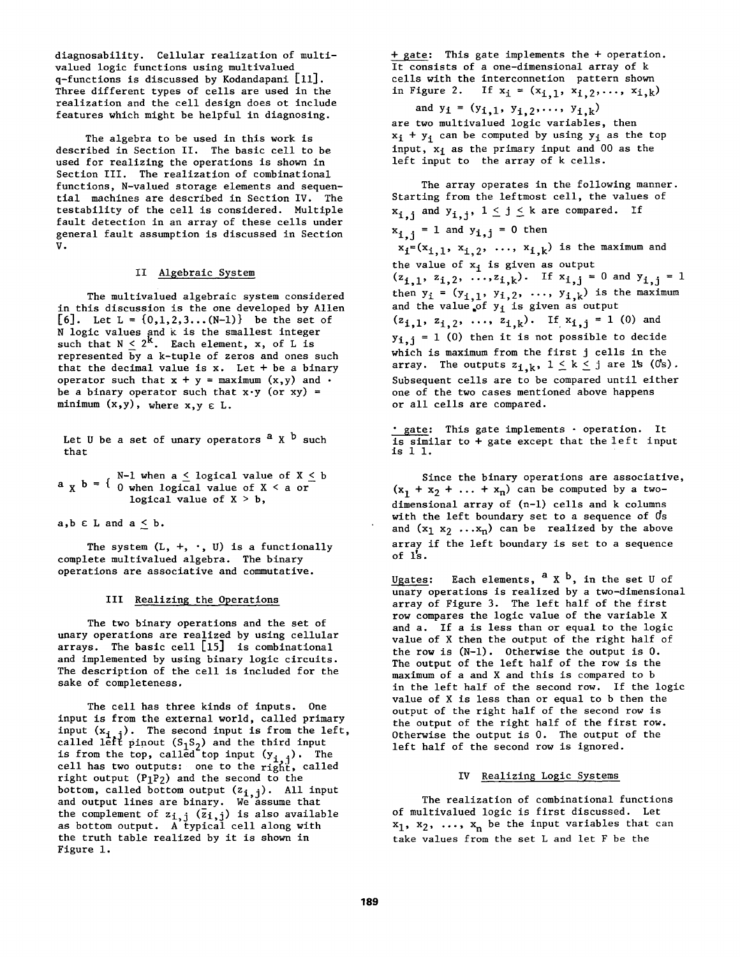diagnosability. Cellular realization of multivalued logic functions using multivalued q-functions is discussed by Kodandapani [ii]. Three different types of cells are used in the realization and the cell design does ot include features which might be helpful in diagnosing.

The algebra to be used in this work is described in Section II. The basic cell to be used for realizing the operations is shown in Section III. The realization of combinational functions, N-valued storage elements and sequential machines are described in Section IV. The *testability* of the cell is considered. Multiple fault detection in an array of these cells under general fault assumption is discussed in Section V.

## II Algebraic System

The multivalued algebraic system considered in this discussion is the one developed by Allen  $[6]$ . Let L =  $\{0,1,2,3...$  (N-1)} be the set of N logic values and k is the smallest integer such that  $N < 2^\kappa$ . Each element,  ${\bf x},$  of  ${\bf L}$  is represented  $\overline{b}$ y a k-tuple of zeros and ones such that the decimal value is  $x$ . Let + be a binary operator such that  $x + y = maximum (x, y)$  and  $\cdot$ be a binary operator such that  $x \cdot y$  (or  $xy$ ) = minimum  $(x,y)$ , where  $x,y \in L$ .

Let U be a set of unary operators  $a \times b$  such that

 $- x$ N-1 when a  $\leq$  logical value of X  $\leq$  b  $\mathsf{p}$  -  $\mathsf{q}$  o when logical value of X  $\leq$  a orlogical value of X > b,

 $a, b \in L$  and  $a \leq b$ .

The system  $(L, +, \cdot, U)$  is a functionally complete multivalued algebra. The binary operations are associative and commutative.

#### III Realizing the Operations

The two binary operations and the set of unary operations are realized by using cellular arrays. The basic cell [15] is combinational and implemented by using binary logic circuits. The description of the cell is included for the sake of completeness.

The cell has three kinds of inputs. One input is from the external world, called primary input  $(x_{i-1})$ . The second input is from the left, called left pinout ( $S_1S_2$ ) and the third input is from the top, called top input  $(y, \cdot)$ . The cell has two outputs: one to the right, called right output  $(P_1P_2)$  and the second to the bottom, called bottom output (z<sub>i,i</sub>). All input and output lines are binary. We assume *that*  the complement of  $z_{i,j}$  ( $\overline{z}_{i,j}$ ) is also available as bottom output. A typical cell along with the truth table realized by it is shown in Figure i.

+ gate: This gate implements the + operation. It consists of a one-dimensional array of k cells with the interconnetion pattern shown in Figure 2. If  $x_i = (x_{i,1}, x_{i,2},..., x_{i,k})$ 

and  $y_i = (y_{i,1}, y_{i,2}, \ldots, y_{i,k})$ are two multivalued logic variables, then  $x_i + y_i$  can be computed by using  $y_i$  as the top input,  $x_i$  as the primary input and 00 as the left input to the array of k cells.

The array operates in the following manner. Starting from the leftmost cell, the values of  $x_{i,j}$  and  $y_{i,j}$ ,  $1 \leq j \leq k$  are compared. If  $x_{i,i} = 1$  and  $y_{i,j} = 0$  then  $x_i=(x_{i,1}, x_{i,2}, \ldots, x_{i,k})$  is the maximum and the value of x. is given as output  $(z_{i,1}, z_{i,2}, \ldots, z_{i,k})$ . If  $x_{i,j} = 0$  and  $y_{i,j} = 1$ then  $y_i$  =  $(y_{i,1}, y_{i,2}, \ldots, y_{i,k})$  is the maximum and the value of y<sub>i</sub> is given as output  $(z_{i,1}, z_{i,2}, \ldots, z_{i,k})$ . If  $x_{i,j} = 1$  (0) and  $y_{i,j} = 1$  (0) then it is not possible to decide which is maximum from the first j cells in the array. The outputs  $z_{i,k}$ ,  $1 \le k \le j$  are 1s (Os). Subsequent cells are to be compared until either one of the two cases mentioned above happens or all cells are compared.

• gate: This gate implements - operation. It is similar to + gate except that the left input is 1 i.

Since the binary operations are associative,  $(x_1 + x_2 + \ldots + x_n)$  can be computed by a twodimensional array of (n-l) cells and k columns with the left boundary set *to* a sequence of ds and  $(x_1 x_2 ... x_n)$  can be realized by the above array if the left boundary is set to a sequence of l's.

Ugates: Each elements,  $a \times b$ , in the set U of unary operations is realized by a two-dimensional array of Figure 3. The left half of the first row compares the logic value of the variable X and a. If a is less than or equal to the logic value of X then the output of the right half of the row is (N-l). Otherwise the output is 0. The output of the left half of the row is the maximum of a and X and this is compared *to b*  in the left half of the second row. If the logic value of X is less than or equal to b then the output of the right half of the second row is the output of the right half of the first row. Otherwise the output is 0. The output of the left half of the second row is ignored.

## IV Realizing Logic Systems

The realization of combinational functions of multivalued logic is first discussed. Let  $x_1$ ,  $x_2$ , ...,  $x_n$  be the input variables that can take values from the set L and let F be the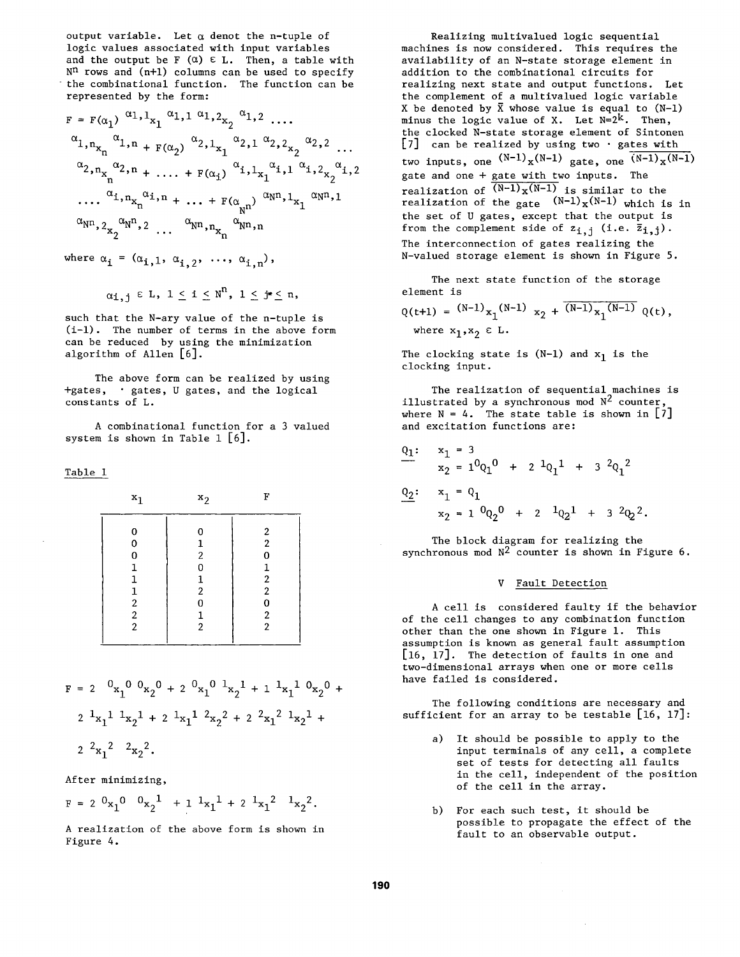output variable. Let  $\alpha$  denot the n-tuple of logic values associated with input variables and the output be F  $(\alpha) \in L$ . Then, a table with  $N<sup>n</sup>$  rows and (n+1) columns can be used to specify the combinational function. The function can be represented by the form:

$$
F = F(\alpha_1) \alpha_1, 1_{x_1} \alpha_1, 1_{x_2} \alpha_1, 2 \ldots
$$
  
\n
$$
\alpha_1, n_{x_n} \alpha_1, n_{x_1} \alpha_2, 1_{x_1} \alpha_2, 1_{x_2} \alpha_2, 2 \ldots
$$
  
\n
$$
\alpha_2, n_{x_n} \alpha_2, n_{x_1} \ldots + F(\alpha_1) \alpha_1, 1_{x_1} \alpha_1, 1_{x_2} \alpha_2, 1_{x_2} \alpha_1, 2
$$
  
\n
$$
\ldots \alpha_1, n_{x_n} \alpha_1, n_{x_1} \ldots + F(\alpha_n) \alpha_n, 1_{x_1} \alpha_n, 1_{x_1} \alpha_n
$$
  
\n
$$
\alpha_{N^2, 2} \alpha_N, 2 \ldots \alpha_{N^2, n_{x_n}} \alpha_{N^2, n}
$$

where  $\alpha_i = (\alpha_{i,1}, \alpha_{i,2}, \ldots, \alpha_{i,n})$ ,

$$
\alpha_{\textbf{i},\textbf{i}} \in \text{L}, \ 1 \leq \textbf{i} \leq \textbf{N}^{\textbf{n}}, \ 1 \leq \textbf{j} * \leq \textbf{n},
$$

such that the N-ary value of the n-tuple is (i-l). The number of terms in the above form can be reduced by using the minimization algorithm of Allen [6].

The above form can be realized by using +gates, • gates, U gates, and the logical constants of L.

A combinational function for a 3 valued system is shown in Table  $1\; [6]$ .

Table 1

| $x_1$                                                                               | $x_2$                                                                                  | F                                                                                                   |  |  |  |  |  |  |
|-------------------------------------------------------------------------------------|----------------------------------------------------------------------------------------|-----------------------------------------------------------------------------------------------------|--|--|--|--|--|--|
| 0<br>0<br>0<br>1<br>ı<br>$\mathbf{1}$<br>$\begin{array}{c} 2 \\ 2 \\ 2 \end{array}$ | 0<br>1<br>$\overline{\mathbf{c}}$<br>0<br>1<br>$\boldsymbol{2}$<br>0<br>$\overline{2}$ | 2<br>$\boldsymbol{2}$<br>0<br>1<br>$\boldsymbol{2}$<br>2<br>0<br>$\boldsymbol{2}$<br>$\overline{2}$ |  |  |  |  |  |  |

$$
F = 2 \t 0 x_1 0 0 x_2 0 + 2 0 x_1 0 1 x_2 1 + 1 1 x_1 1 0 x_2 0 + 2 1 x_1 1 1 x_2 1 + 2 1 x_1 1 2 x_2 2 + 2 2 x_1 2 1 x_2 1 + 2 2 x_1 2 2 x_2 2.
$$

After minimizing,

 $F = 2 \frac{0}{x_1}$   $\frac{0}{x_2}$   $\frac{1}{x_1} + 1 \frac{1}{x_1}$   $\frac{1}{x_1} + 2 \frac{1}{x_1}$   $\frac{1}{x_2}$   $\frac{1}{x_2}$ 

A realization of the above form is shown in Figure 4.

Realizing multivalued logic sequential machines is now considered. This requires the availability of an N-state storage element in addition to the combinational circuits for realizing next state and output functions. Let the complement of a multivalued logic variable X be denoted by  $\bar{X}$  whose value is equal to (N-1) minus the logic value of X. Let  $N=2^k$ . Then, the clocked N-state storage element of Sintonen [7] can be realized by using two  $\cdot$  gates with two inputs, one  $(N-1)$ <sub>x</sub> $(N-1)$  gate, one  $(N-1)$ <sub>x</sub> $(N-1)$ gate and one + gate with two inputs. The realization of  $\overline{(N-1)_X(N-1)}$  is similar to the realization of the gate  $(N-1)_{X}(N-1)$  which is in the set of U gates, except that the output is from the complement side of  $z_{i,j}$  (i.e.  $\overline{z}_{i,j}$ ). The interconnection of gates realizing the N-valued storage element is shown in Figure 5.

The next state function of the storage element is

 $Q(t+1) = (N-1)x_1(N-1)x_2 + (N-1)x_1(N-1)Q(t),$ where  $x_1, x_2 \in L$ .

The clocking state is  $(N-1)$  and  $x_1$  is the clocking input.

The realization of sequential machines is illustrated by a synchronous mod  $N^2$  counter, where  $N = 4$ . The state table is shown in [7] and excitation functions are:

$$
Q_1: \begin{array}{rcl}\nx_1 &=& 3 \\
x_2 &=& 1^0 Q_1^0 + 2^1 Q_1^1 + 3^2 Q_1^2 \\
&Q_2: \begin{array}{rcl}\nx_1 &=& Q_1 \\
x_2 &=& 1^0 Q_2^0 + 2^1 Q_2^1 + 3^2 Q_2^2.\n\end{array}
$$

The block diagram for realizing the synchronous mod  $N^2$  counter is shown in Figure 6.

#### V Fault Detection

A cell is considered faulty if the behavior of the cell changes to any combination function other than the one shown in Figure 1. This assumption is known as general fault assumption [16, 17]. The detection of faults in one and two-dimensional arrays when one or more cells have failed is considered.

The following conditions are necessary and sufficient for an array to be testable  $[16, 17]$ :

- **a)**  It should be possible to apply to the input terminals of any cell, a complete set of tests for detecting all faults in the cell, independent of the position of the cell in the array.
- b) For each such test, it should be possible to propagate the effect of the fault to an observable output.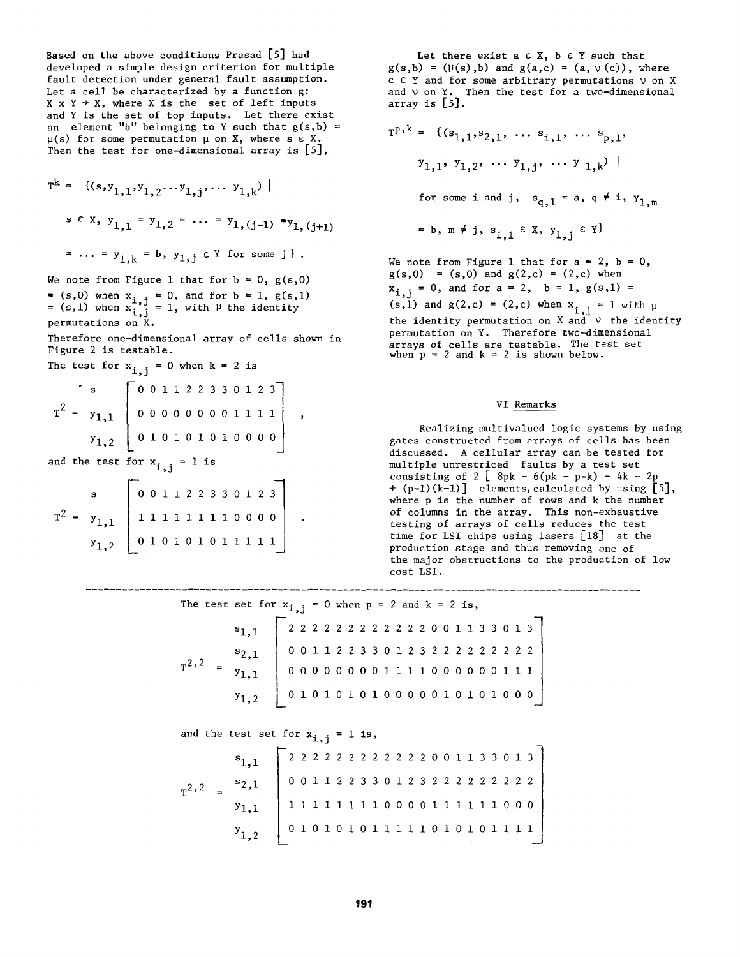Based on the above conditions Prasad [5] had developed a simple design criterion for multiple fault detection under general fault assumption. Let a cell be characterized by a function g:  $X \times Y \rightarrow X$ , where X is the set of left inputs and Y is the set of top inputs. Let there exist an element "b" belonging to Y such that  $g(s,b)$  =  $\mu(s)$  for some permutation  $\mu$  on X, where s  $\epsilon$  X. Then the test for one-dimensional array is [5],

$$
T^{k} = \{(s, y_{1,1}, y_{1,2} \cdots y_{1,j}, \cdots y_{1,k}) \mid
$$
  
s  $\in X$ ,  $y_{1,1} = y_{1,2} = \cdots = y_{1,(j-1)} = y_{1,(j+1)}$   
 $= \cdots = y_{1,k} = b$ ,  $y_{1,j} \in Y$  for some j.

We note from Figure 1 that for  $b = 0$ ,  $g(s, 0)$ = (s,0) when  $x_{i,j}$  = 0, and for b = 1, g(s,1) = (s,l) when  $x_i$ ,  $i = 1$ , with  $\mu$  the identity permutations on X.

Therefore one-dimensional array of cells shown in Figure 2 is testable.

The test for  $x_{i,j} = 0$  when  $k = 2$  is

$$
T^{2} = y_{1,1} \n\begin{bmatrix}\n0 & 0 & 1 & 1 & 2 & 2 & 3 & 3 & 0 & 1 & 2 & 3 \\
0 & 0 & 0 & 0 & 0 & 0 & 0 & 1 & 1 & 1 \\
0 & 1 & 0 & 1 & 0 & 1 & 0 & 0 & 0 & 0\n\end{bmatrix},
$$

and the test for  $x_{i,j} = 1$  is

$$
T^{2} = y_{1,1} \n\begin{bmatrix}\n0 & 0 & 1 & 1 & 2 & 2 & 3 & 3 & 0 & 1 & 2 & 3 \\
1 & 1 & 1 & 1 & 1 & 1 & 1 & 0 & 0 & 0 & 0 \\
0 & 1 & 0 & 1 & 0 & 1 & 0 & 1 & 1 & 1 & 1\n\end{bmatrix}
$$

Let there exist a  $\epsilon$  X,  $b \epsilon$  Y such that  $g(s,b) = (\mu(s),b)$  and  $g(a,c) = (a, \nu(c))$ , where c  $E Y$  and for some arbitrary permutations  $\nu$  on X and  $\nu$  on  $Y$ . Then the test for a two-dimensional array is [5].

$$
T^{p,k} = \{ (s_{1,1}, s_{2,1}, \dots s_{i,1}, \dots s_{p,1},
$$
  

$$
y_{1,1}, y_{1,2}, \dots y_{1,j}, \dots y_{1,k}) \mid
$$

for some i and j,  $s_{q,1} = a, q \neq i, y_{1,m}$ 

$$
= b, m \neq j, s_{i,1} \in X, y_{1,i} \in Y
$$

We note from Figure 1 that for  $a = 2$ ,  $b = 0$ ,  $g(s,0) = (s,0)$  and  $g(2,c) = (2,c)$  when  $x_{i,j} = 0$ , and for  $a = 2$ ,  $b = 1$ ,  $g(s,1) =$  $(s,1)$  and  $g(2,c) = (2,c)$  when  $x_{i,j} = 1$  with the identity permutation on  $X$  and  $\nu$  the identity permutation on Y. Therefore two-dimensional arrays of cells are testable. The test set when  $p = 2$  and  $k = 2$  is shown below.

# VI Remarks

Realizing multivalued logic systems by using gates constructed from arrays of cells has been discussed. A cellular array can be tested for multiple unrestriced faults by a test set consisting of  $2 \left[ 8pk - 6(pk - p-k) - 4k - 2p \right]$ + (p-l)(k-l)] elements, calculated by using [5], where p is the number of rows and k the number of columns in the array. This non-exhaustive testing of arrays of cells reduces the test time for LSI chips using lasers [18] at the production stage and thus removing one of the major obstructions to the production of low cost LSI.

---------------------------The test set for  $x_{i,j} = 0$  when  $p = 2$  and  $k = 2$  is, 222222222222001133013  $^{\mathbf{s}}$ 1.1 001122330123222222222 s2,1  $T^{2,2} = y_{1,1}$ 00000000000000001 01010 i010000010101000  $y_{1,2}$ 

and the test set for x<sub>i</sub> = 1 is,

| $T^2,2 = \begin{bmatrix} 2 & 2 & 2 & 2 & 2 & 2 & 2 & 2 & 2 & 2 & 2 & 2 & 0 & 0 & 1 & 1 & 3 & 3 & 0 & 1 & 3 \\ 0 & 0 & 1 & 1 & 2 & 2 & 3 & 3 & 0 & 1 & 2 & 3 & 2 & 2 & 2 & 2 & 2 & 2 & 2 & 2 \\ 0 & 1 & 1 & 1 & 1 & 1 & 1 & 1 & 0 & 0 & 0 & 0 & 1 & 1 & 1 & 1 & 0 & 0 & 0 \\ 0 & 1 & 0 & 1 & 0 & 1 & 0 & 1 & 1 & $ |  |  |  |  |  |  |  |  |  |  |  |  |
|-------------------------------------------------------------------------------------------------------------------------------------------------------------------------------------------------------------------------------------------------------------------------------------------------------------------|--|--|--|--|--|--|--|--|--|--|--|--|
|                                                                                                                                                                                                                                                                                                                   |  |  |  |  |  |  |  |  |  |  |  |  |
|                                                                                                                                                                                                                                                                                                                   |  |  |  |  |  |  |  |  |  |  |  |  |
|                                                                                                                                                                                                                                                                                                                   |  |  |  |  |  |  |  |  |  |  |  |  |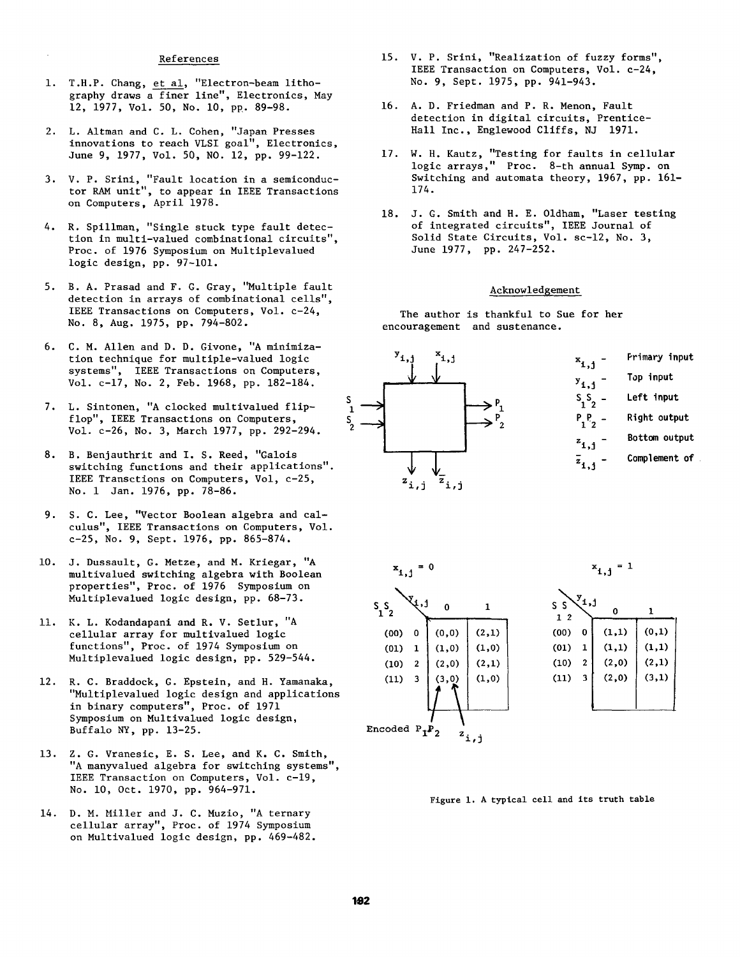## References

- i. T.H.P. Chang, et al, "Electron-beam lithography draws a finer line", Electronics, May 12, 1977, Vol. 50, No. i0, PR. 89-98.
- 2. L. Altman and C. L. Cohen, "Japan Presses innovations to reach VLSI goal", Electronics, June 9, 1977, Vol. 50, NO. 12, pp. 99-122.
- 3. V. P. Srini, "Fault location in a semiconductor RAM unit", to appear in IEEE Transactions on Computers, April 1978.
- 4. R. Spillman, "Single stuck type fault detection in multi-valued combinational circuits", Proc. of 1976 Symposium on Multiplevalued logic design, pp. 97-101.
- 5. B. A. Prasad and F. G. Gray, "Multiple fault detection in arrays of combinational cells", IEEE Transactions on Computers, Vol. c-24, No. 8, Aug. 1975, pp. 794-802.
- 6. C. M. Allen and D. D. Givone, "A minimization technique for multiple-valued logic systems", IEEE Transactions on Computers, Vol. c-17, No. 2, Feb. 1968, pp. 182-184.
- 7. L. Sintonen, "A clocked multivalued flipflop", IEEE Transactions on Computers, Vol. c-26, No. 3, March 1977, pp. 292-294.
- **8.**  B. Benjauthrit and I. S. Reed, "Galois switching functions and their applications". IEEE Transctions on Computers, Vol, c-25, No. i Jan. 1976, pp. 78-86.
- 9. S. C. Lee, "Vector Boolean algebra and calculus", IEEE Transactions on Computers, Vol. c-25, No. 9, Sept. 1976, pp. 865-874.
- i0. J. Dussault, G. Metze, and M. Kriegar, "A multivalued switching algebra with Boolean properties", Proc. of 1976 Symposium on Multiplevalued logic design, pp. 68-73.
- ii. K. L. Kodandapani and R. V. Setlur, "A cellular array for multivalued logic functions", Proc. of 1974 Symposium on Multiplevalued logic design, pp. 529-544.
- 12. R. C. Braddock, G. Epstein, and H. Yamanaka, "Multiplevalued logic design and applications in binary computers", Proc. of 1971 Symposium on Multivalued logic design, Buffalo NY, pp. 13-25.
- 13. Z. G. Vranesic, E. S. Lee, and K. C. Smith, "A manyvalued algebra for switching systems", IEEE Transaction on Computers, Vol. c-19, No. i0, Oct. 1970, pp. 964-971.
- 14. D. M. Miller and J. C. Muzio, "A ternary cellular array", Proc. of 1974 Symposium on Multivalued logic design, pp. 469-482.
- 15. V. P. Srini, "Realization of fuzzy forms", IEEE Transaction on Computers, Vol. c-24, No. 9, Sept. 1975, pp. 941-943.
- 16. A. D. Friedman and P. R. Menon, Fault detection in digital circuits, Prentice-Hall Inc., Englewood Cliffs, NJ 1971.
- 17. W. H. Kautz, "Testing for faults in cellular logic arrays," Proc. 8-th annual Symp. on Switching and automata theory, 1967, pp. 161- 174.
- 18. J. G. Smith and H. E. Oldham, "Laser testing of integrated circuits", IEEE Journal of Solid State Circuits, Vol. sc-12, No. 3, June 1977, pp. 247-252.

#### Acknowledgement

The author is thankful to Sue for her encouragement and sustenance.









Figure 1. A typical cell and its truth table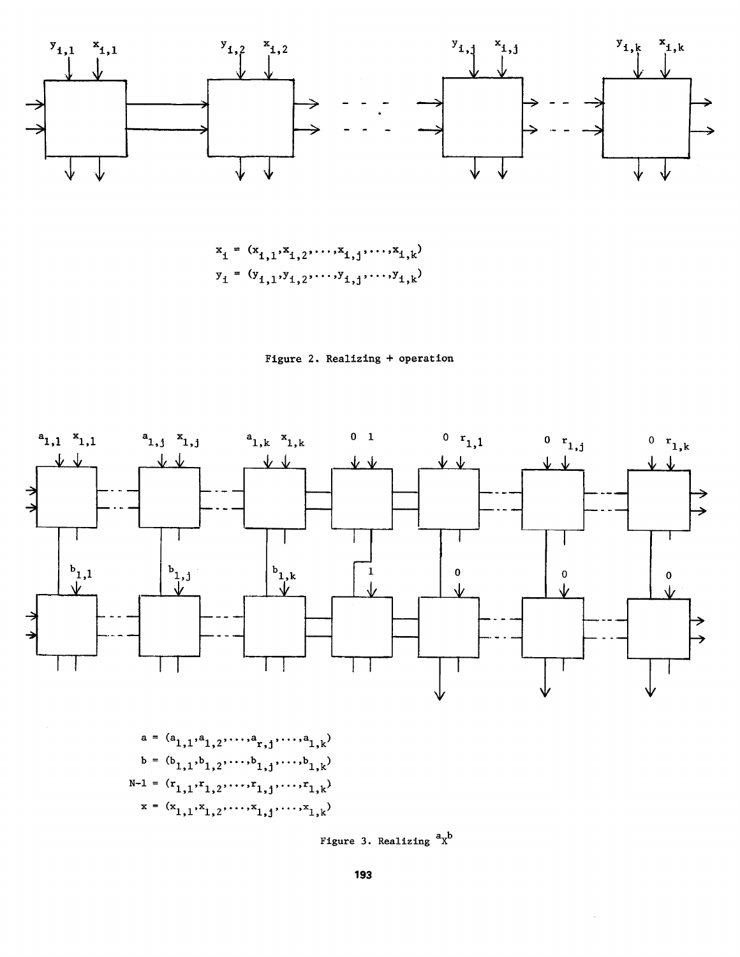









Figure 3. Realizing  ${}^{\mathbf{a}}\mathbf{x}^{\mathbf{b}}$